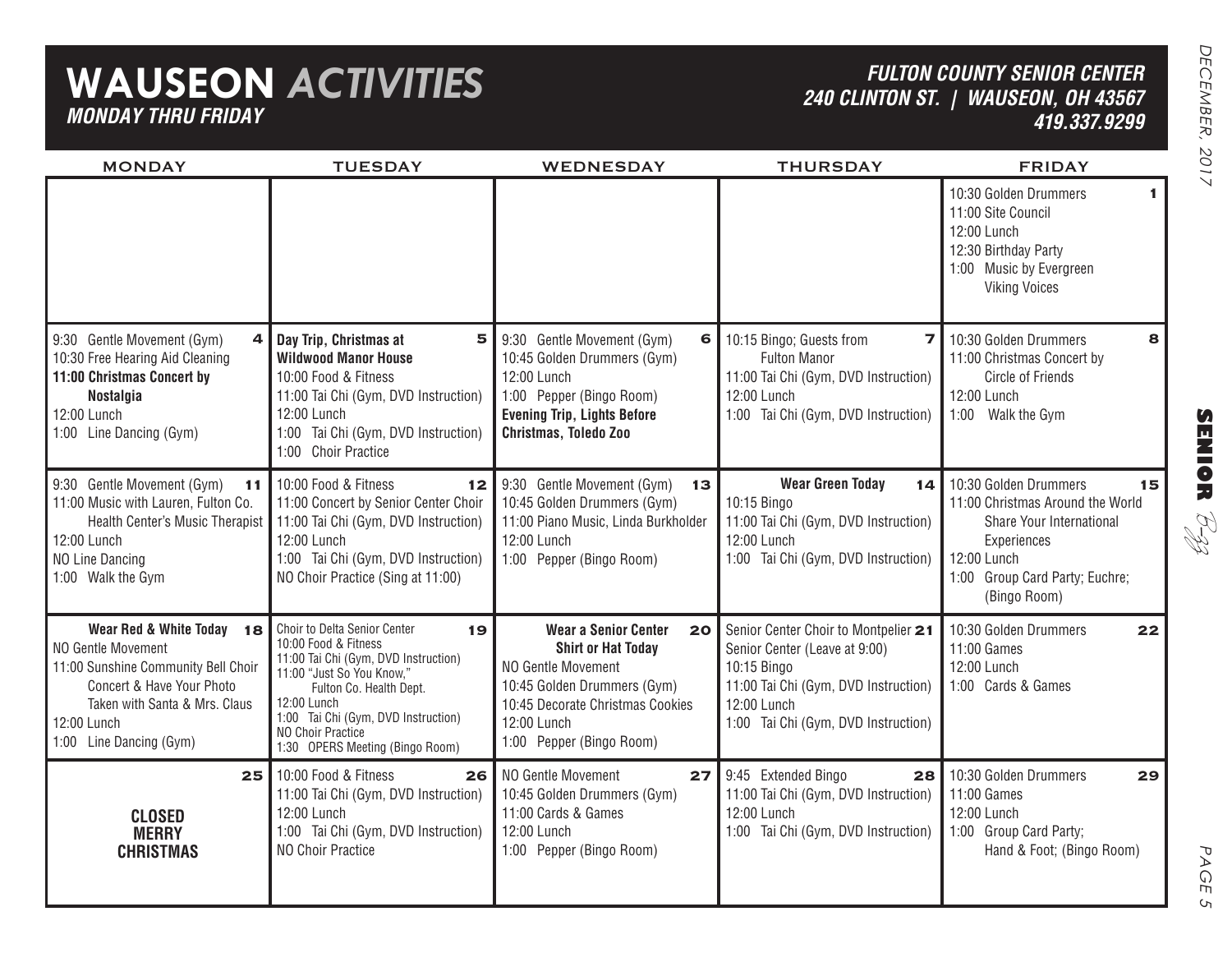## **WAUSEON** *ACTIVITIES MONDAY THRU FRIDAY*

### *FULTON COUNTY SENIOR CENTER 240 CLINTON ST. | WAUSEON, OH 43567 419.337.9299*

| <b>MONDAY</b>                                                                                                                                                                                  | <b>TUESDAY</b>                                                                                                                                                                                                                                                           | <b>WEDNESDAY</b>                                                                                                                                                                                    | <b>THURSDAY</b>                                                                                                                                                                    | <b>FRIDAY</b>                                                                                                                                                               |  |
|------------------------------------------------------------------------------------------------------------------------------------------------------------------------------------------------|--------------------------------------------------------------------------------------------------------------------------------------------------------------------------------------------------------------------------------------------------------------------------|-----------------------------------------------------------------------------------------------------------------------------------------------------------------------------------------------------|------------------------------------------------------------------------------------------------------------------------------------------------------------------------------------|-----------------------------------------------------------------------------------------------------------------------------------------------------------------------------|--|
|                                                                                                                                                                                                |                                                                                                                                                                                                                                                                          |                                                                                                                                                                                                     |                                                                                                                                                                                    | 10:30 Golden Drummers<br>$\mathbf{1}$<br>11:00 Site Council<br>12:00 Lunch<br>12:30 Birthday Party<br>1:00 Music by Evergreen<br><b>Viking Voices</b>                       |  |
| 9:30 Gentle Movement (Gym)<br>4<br>10:30 Free Hearing Aid Cleaning<br>11:00 Christmas Concert by<br><b>Nostalgia</b><br>12:00 Lunch<br>1:00 Line Dancing (Gym)                                 | Day Trip, Christmas at<br>5<br><b>Wildwood Manor House</b><br>10:00 Food & Fitness<br>11:00 Tai Chi (Gym, DVD Instruction)<br>12:00 Lunch<br>1:00 Tai Chi (Gym, DVD Instruction)<br>1:00 Choir Practice                                                                  | 9:30 Gentle Movement (Gym)<br>6<br>10:45 Golden Drummers (Gym)<br>12:00 Lunch<br>1:00 Pepper (Bingo Room)<br><b>Evening Trip, Lights Before</b><br>Christmas, Toledo Zoo                            | 10:15 Bingo; Guests from<br>7 I<br><b>Fulton Manor</b><br>11:00 Tai Chi (Gym, DVD Instruction)<br>12:00 Lunch<br>1:00 Tai Chi (Gym, DVD Instruction)                               | 10:30 Golden Drummers<br>8<br>11:00 Christmas Concert by<br><b>Circle of Friends</b><br>12:00 Lunch<br>1:00 Walk the Gym                                                    |  |
| 9:30 Gentle Movement (Gym)<br>11<br>11:00 Music with Lauren, Fulton Co.<br>Health Center's Music Therapist<br>12:00 Lunch<br>NO Line Dancing<br>1:00 Walk the Gym                              | 10:00 Food & Fitness<br>12<br>11:00 Concert by Senior Center Choir<br>11:00 Tai Chi (Gym, DVD Instruction)<br>12:00 Lunch<br>1:00 Tai Chi (Gym, DVD Instruction)<br>NO Choir Practice (Sing at 11:00)                                                                    | 9:30 Gentle Movement (Gym)<br>13<br>10:45 Golden Drummers (Gym)<br>11:00 Piano Music, Linda Burkholder<br>12:00 Lunch<br>1:00 Pepper (Bingo Room)                                                   | <b>Wear Green Today</b><br>14 I<br>10:15 Bingo<br>11:00 Tai Chi (Gym, DVD Instruction)<br>12:00 Lunch<br>1:00 Tai Chi (Gym, DVD Instruction)                                       | 10:30 Golden Drummers<br>15<br>11:00 Christmas Around the World<br>Share Your International<br>Experiences<br>12:00 Lunch<br>1:00 Group Card Party; Euchre;<br>(Bingo Room) |  |
| Wear Red & White Today 18<br>NO Gentle Movement<br>11:00 Sunshine Community Bell Choir<br>Concert & Have Your Photo<br>Taken with Santa & Mrs. Claus<br>12:00 Lunch<br>1:00 Line Dancing (Gym) | Choir to Delta Senior Center<br>19<br>10:00 Food & Fitness<br>11:00 Tai Chi (Gym, DVD Instruction)<br>11:00 "Just So You Know,"<br>Fulton Co. Health Dept.<br>12:00 Lunch<br>1:00 Tai Chi (Gym, DVD Instruction)<br>NO Choir Practice<br>1:30 OPERS Meeting (Bingo Room) | <b>Wear a Senior Center</b><br>20 <br><b>Shirt or Hat Today</b><br>NO Gentle Movement<br>10:45 Golden Drummers (Gym)<br>10:45 Decorate Christmas Cookies<br>12:00 Lunch<br>1:00 Pepper (Bingo Room) | Senior Center Choir to Montpelier 21<br>Senior Center (Leave at 9:00)<br>10:15 Bingo<br>11:00 Tai Chi (Gym, DVD Instruction)<br>12:00 Lunch<br>1:00 Tai Chi (Gym, DVD Instruction) | 10:30 Golden Drummers<br>22<br>11:00 Games<br>12:00 Lunch<br>1:00 Cards & Games                                                                                             |  |
| 25<br><b>CLOSED</b><br><b>MERRY</b><br><b>CHRISTMAS</b>                                                                                                                                        | 10:00 Food & Fitness<br>26<br>11:00 Tai Chi (Gym, DVD Instruction)<br>12:00 Lunch<br>1:00 Tai Chi (Gym, DVD Instruction)<br>NO Choir Practice                                                                                                                            | NO Gentle Movement<br>27<br>10:45 Golden Drummers (Gym)<br>11:00 Cards & Games<br>12:00 Lunch<br>1:00 Pepper (Bingo Room)                                                                           | 9:45 Extended Bingo<br>28<br>11:00 Tai Chi (Gym, DVD Instruction)<br>12:00 Lunch<br>1:00 Tai Chi (Gym, DVD Instruction)                                                            | 10:30 Golden Drummers<br>29<br>11:00 Games<br>12:00 Lunch<br>1:00 Group Card Party;<br>Hand & Foot; (Bingo Room)                                                            |  |

**SENIOR** B-zz

> PAGE PAGE 5  $\mathsf{C}_{\mathsf{L}}$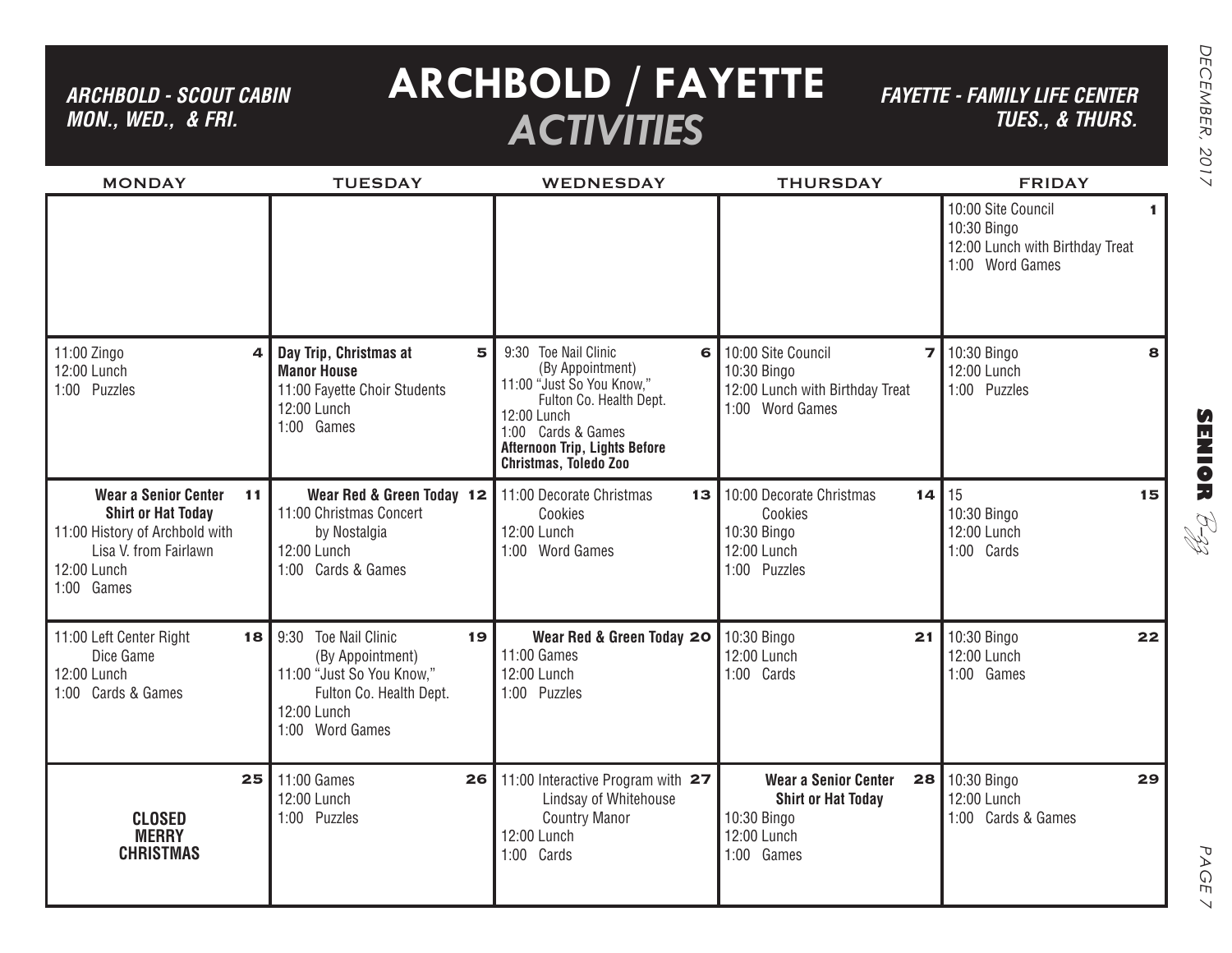*ARCHBOLD - SCOUT CABIN MON., WED., & FRI.*

# **ARCHBOLD / FAYETTE** *ACTIVITIES*

*FAYETTE - FAMILY LIFE CENTER TUES., & THURS.*

| <b>MONDAY</b>                                                                                                                                          | <b>TUESDAY</b>                                                                                                                                     | <b>WEDNESDAY</b>                                                                                                                                                                                                   | <b>THURSDAY</b>                                                                                            | <b>FRIDAY</b>                                                                           |
|--------------------------------------------------------------------------------------------------------------------------------------------------------|----------------------------------------------------------------------------------------------------------------------------------------------------|--------------------------------------------------------------------------------------------------------------------------------------------------------------------------------------------------------------------|------------------------------------------------------------------------------------------------------------|-----------------------------------------------------------------------------------------|
|                                                                                                                                                        |                                                                                                                                                    |                                                                                                                                                                                                                    |                                                                                                            | 10:00 Site Council<br>10:30 Bingo<br>12:00 Lunch with Birthday Treat<br>1:00 Word Games |
| 11:00 Zingo<br>$\overline{a}$<br>12:00 Lunch<br>1:00 Puzzles                                                                                           | Day Trip, Christmas at<br>5<br><b>Manor House</b><br>11:00 Fayette Choir Students<br>12:00 Lunch<br>1:00 Games                                     | 9:30 Toe Nail Clinic<br>$6 \mid$<br>(By Appointment)<br>11:00 "Just So You Know,"<br>Fulton Co. Health Dept.<br>12:00 Lunch<br>1:00 Cards & Games<br><b>Afternoon Trip, Lights Before</b><br>Christmas, Toledo Zoo | 10:00 Site Council<br>10:30 Bingo<br>12:00 Lunch with Birthday Treat<br>1:00 Word Games                    | 10:30 Bingo<br>8<br>12:00 Lunch<br>1:00 Puzzles                                         |
| <b>Wear a Senior Center</b><br>11<br><b>Shirt or Hat Today</b><br>11:00 History of Archbold with<br>Lisa V. from Fairlawn<br>12:00 Lunch<br>1:00 Games | Wear Red & Green Today 12<br>11:00 Christmas Concert<br>by Nostalgia<br>12:00 Lunch<br>1:00 Cards & Games                                          | 11:00 Decorate Christmas<br>13 <br>Cookies<br>12:00 Lunch<br>1:00 Word Games                                                                                                                                       | 10:00 Decorate Christmas<br>14<br>Cookies<br>10:30 Bingo<br>12:00 Lunch<br>1:00 Puzzles                    | 15<br>15<br>10:30 Bingo<br>12:00 Lunch<br>1:00 Cards                                    |
| 11:00 Left Center Right<br>18<br>Dice Game<br>12:00 Lunch<br>1:00 Cards & Games                                                                        | <b>Toe Nail Clinic</b><br>9:30<br>19<br>(By Appointment)<br>11:00 "Just So You Know,"<br>Fulton Co. Health Dept.<br>12:00 Lunch<br>1:00 Word Games | Wear Red & Green Today 20<br>11:00 Games<br>12:00 Lunch<br>1:00 Puzzles                                                                                                                                            | 10:30 Bingo<br>21<br>12:00 Lunch<br>1:00 Cards                                                             | 10:30 Bingo<br>22<br>12:00 Lunch<br>1:00 Games                                          |
| 25<br><b>CLOSED</b><br><b>MERRY</b><br><b>CHRISTMAS</b>                                                                                                | 11:00 Games<br>26<br>12:00 Lunch<br>1:00 Puzzles                                                                                                   | 11:00 Interactive Program with 27<br>Lindsay of Whitehouse<br><b>Country Manor</b><br>12:00 Lunch<br>1:00 Cards                                                                                                    | <b>Wear a Senior Center</b><br>28<br><b>Shirt or Hat Today</b><br>10:30 Bingo<br>12:00 Lunch<br>1:00 Games | 10:30 Bingo<br>29<br>12:00 Lunch<br>1:00 Cards & Games                                  |

**SENIOR** B-zz